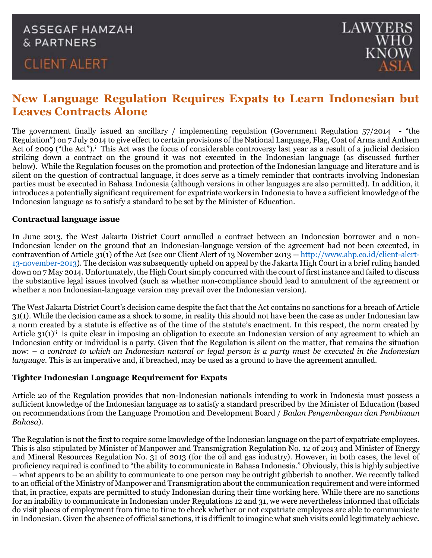## **ASSEGAF HAMZAH** & PARTNERS

# **CLIENT ALERT**



### **New Language Regulation Requires Expats to Learn Indonesian but Leaves Contracts Alone**

The government finally issued an ancillary / implementing regulation (Government Regulation 57/2014 - "the Regulation") on 7 July 2014 to give effect to certain provisions of the National Language, Flag, Coat of Arms and Anthem Act of 2009 ("the Act").<sup>i</sup> This Act was the focus of considerable controversy last year as a result of a judicial decision striking down a contract on the ground it was not executed in the Indonesian language (as discussed further below). While the Regulation focuses on the promotion and protection of the Indonesian language and literature and is silent on the question of contractual language, it does serve as a timely reminder that contracts involving Indonesian parties must be executed in Bahasa Indonesia (although versions in other languages are also permitted). In addition, it introduces a potentially significant requirement for expatriate workers in Indonesia to have a sufficient knowledge of the Indonesian language as to satisfy a standard to be set by the Minister of Education.

#### **Contractual language issue**

In June 2013, the West Jakarta District Court annulled a contract between an Indonesian borrower and a non-Indonesian lender on the ground that an Indonesian-language version of the agreement had not been executed, in contravention of Article 31(1) of the Act (see our Client Alert of 13 November 2013 -- [http://www.ahp.co.id/client-alert-](http://www.ahp.co.id/client-alert-13-november-2013)[13-november-2013\)](http://www.ahp.co.id/client-alert-13-november-2013). The decision was subsequently upheld on appeal by the Jakarta High Court in a brief ruling handed down on 7 May 2014. Unfortunately, the High Court simply concurred with the court of first instance and failed to discuss the substantive legal issues involved (such as whether non-compliance should lead to annulment of the agreement or whether a non Indonesian-language version may prevail over the Indonesian version).

The West Jakarta District Court's decision came despite the fact that the Act contains no sanctions for a breach of Article 31(1). While the decision came as a shock to some, in reality this should not have been the case as under Indonesian law a norm created by a statute is effective as of the time of the statute's enactment. In this respect, the norm created by Article  $31(1)$ <sup>ii</sup> is quite clear in imposing an obligation to execute an Indonesian version of any agreement to which an Indonesian entity or individual is a party. Given that the Regulation is silent on the matter, that remains the situation now: – *a contract to which an Indonesian natural or legal person is a party must be executed in the Indonesian language*. This is an imperative and, if breached, may be used as a ground to have the agreement annulled.

### **Tighter Indonesian Language Requirement for Expats**

Article 20 of the Regulation provides that non-Indonesian nationals intending to work in Indonesia must possess a sufficient knowledge of the Indonesian language as to satisfy a standard prescribed by the Minister of Education (based on recommendations from the Language Promotion and Development Board / *Badan Pengembangan dan Pembinaan Bahasa*).

The Regulation is not the first to require some knowledge of the Indonesian language on the part of expatriate employees. This is also stipulated by Minister of Manpower and Transmigration Regulation No. 12 of 2013 and Minister of Energy and Mineral Resources Regulation No. 31 of 2013 (for the oil and gas industry). However, in both cases, the level of proficiency required is confined to "the ability to communicate in Bahasa Indonesia." Obviously, this is highly subjective – what appears to be an ability to communicate to one person may be outright gibberish to another. We recently talked to an official of the Ministry of Manpower and Transmigration about the communication requirement and were informed that, in practice, expats are permitted to study Indonesian during their time working here. While there are no sanctions for an inability to communicate in Indonesian under Regulations 12 and 31, we were nevertheless informed that officials do visit places of employment from time to time to check whether or not expatriate employees are able to communicate in Indonesian. Given the absence of official sanctions, it is difficult to imagine what such visits could legitimately achieve.